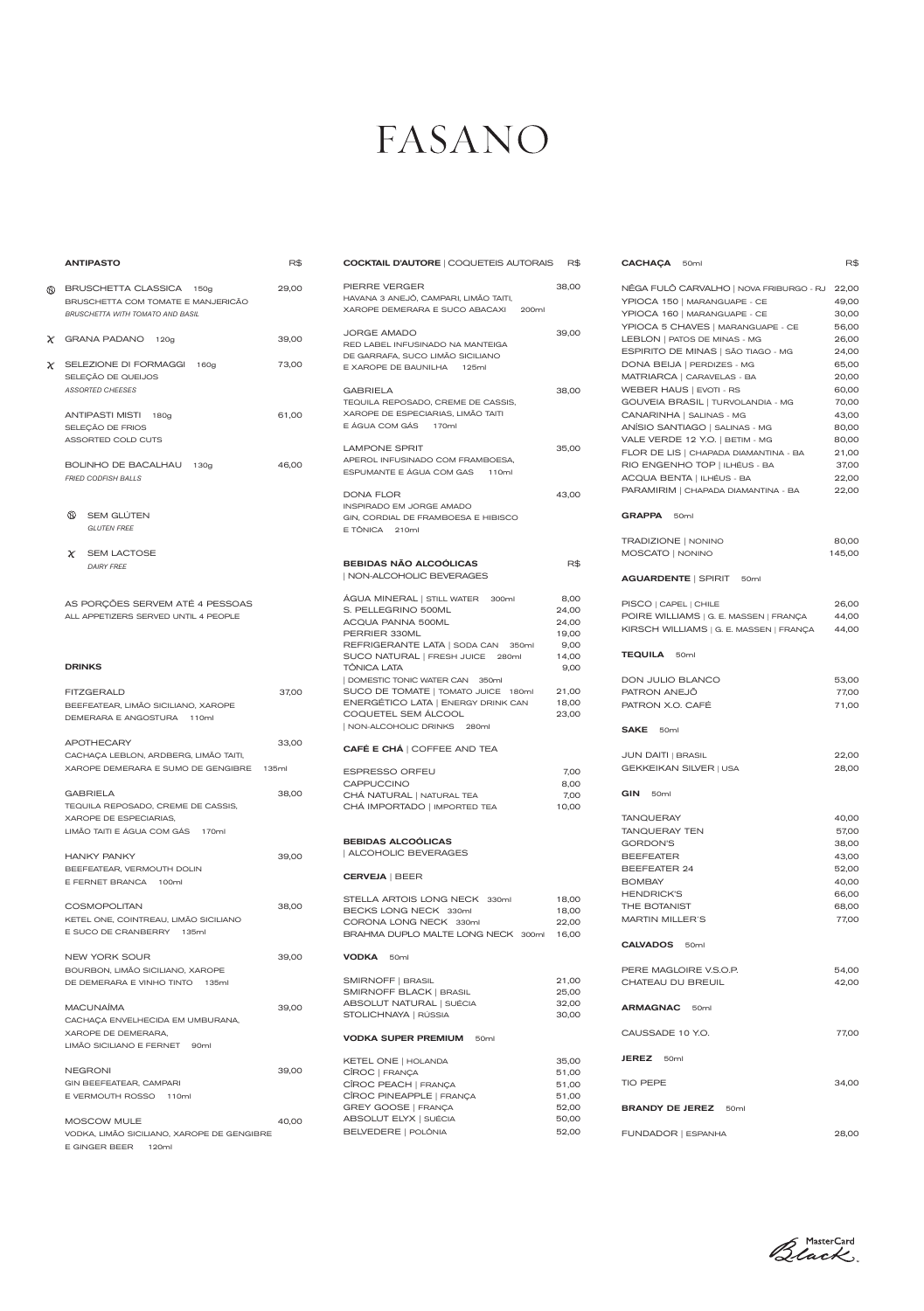## FASANO

|        | <b>ANTIPASTO</b>                                                                                             | R\$   | <b>COCKTAIL D'AUTORE   COQUETEIS AUTORAIS</b>                                                                                             | R\$                                     |
|--------|--------------------------------------------------------------------------------------------------------------|-------|-------------------------------------------------------------------------------------------------------------------------------------------|-----------------------------------------|
| (KK)   | BRUSCHETTA CLASSICA<br>150a<br>BRUSCHETTA COM TOMATE E MANJERICÃO<br><b>BRUSCHETTA WITH TOMATO AND BASIL</b> | 29,00 | PIERRE VERGER<br>HAVANA 3 ANEJÔ, CAMPARI, LIMÃO TAITI,<br>XAROPE DEMERARA E SUCO ABACAXI<br>200ml                                         | 38,00                                   |
| $\chi$ | <b>GRANA PADANO</b><br>120g                                                                                  | 39,00 | <b>JORGE AMADO</b><br>RED LABEL INFUSINADO NA MANTEIGA<br>DE GARRAFA, SUCO LIMÃO SICILIANO                                                | 39,00                                   |
|        | $\chi$ SELEZIONE DI FORMAGGI<br>160g<br>SELEÇÃO DE QUEIJOS                                                   | 73,00 | E XAROPE DE BAUNILHA<br>125ml                                                                                                             |                                         |
|        | <b>ASSORTED CHEESES</b><br>ANTIPASTI MISTI<br>180g<br>SELEÇÃO DE FRIOS                                       | 61,00 | <b>GABRIELA</b><br>TEQUILA REPOSADO, CREME DE CASSIS,<br>XAROPE DE ESPECIARIAS, LIMÃO TAITI<br>E ÁGUA COM GÁS 170ml                       | 38,00                                   |
|        | ASSORTED COLD CUTS<br>BOLINHO DE BACALHAU<br>130a<br><b>FRIED CODFISH BALLS</b>                              | 46,00 | <b>LAMPONE SPRIT</b><br>APEROL INFUSINADO COM FRAMBOESA,<br>ESPUMANTE E ÁGUA COM GAS<br>110ml                                             | 35,00                                   |
|        | ⋒<br><b>SEM GLÚTEN</b><br><b>GLUTEN FREE</b>                                                                 |       | DONA FLOR<br>INSPIRADO EM JORGE AMADO<br>GIN, CORDIAL DE FRAMBOESA E HIBISCO<br>E TÔNICA 210ml                                            | 43,00                                   |
|        | $\chi$<br><b>SEM LACTOSE</b><br><b>DAIRY FREE</b>                                                            |       | <b>BEBIDAS NÃO ALCOÓLICAS</b><br>  NON-ALCOHOLIC BEVERAGES                                                                                | R\$                                     |
|        | AS PORÇÕES SERVEM ATÉ 4 PESSOAS<br>ALL APPETIZERS SERVED UNTIL 4 PEOPLE                                      |       | ÁGUA MINERAL   STILL WATER<br>300ml<br>S. PELLEGRINO 500ML<br>ACQUA PANNA 500ML<br>PERRIER 330ML<br>REFRIGERANTE LATA   SODA CAN<br>350ml | 8,00<br>24,00<br>24,00<br>19,00<br>9,00 |
|        | <b>DRINKS</b>                                                                                                |       | SUCO NATURAL   FRESH JUICE 280ml<br><b>TÔNICA LATA</b><br>DOMESTIC TONIC WATER CAN 350ml                                                  | 14,00<br>9,00                           |
|        | <b>FITZGERALD</b><br>BEEFEATEAR, LIMÃO SICILIANO, XAROPE<br>DEMERARA E ANGOSTURA<br>110ml                    | 37,00 | SUCO DE TOMATE   TOMATO JUICE 180ml<br>ENERGÉTICO LATA   ENERGY DRINK CAN<br>COQUETEL SEM ÁLCOOL<br>  NON-ALCOHOLIC DRINKS<br>280ml       | 21,00<br>18,00<br>23,00                 |
|        | <b>APOTHECARY</b><br>CACHAÇA LEBLON, ARDBERG, LIMÃO TAITI,                                                   | 33,00 | <b>CAFÉ E CHA   COFFEE AND TEA</b>                                                                                                        |                                         |
|        | XAROPE DEMERARA E SUMO DE GENGIBRE                                                                           | 135ml | <b>ESPRESSO ORFEU</b><br><b>CAPPUCCINO</b>                                                                                                | 7,00<br>8,00                            |
|        | <b>GABRIELA</b>                                                                                              | 38,00 | CHÁ NATURAL   NATURAL TEA                                                                                                                 | 7,00                                    |
|        | TEQUILA REPOSADO, CREME DE CASSIS,<br>XAROPE DE ESPECIARIAS,<br>LIMÃO TAITI E ÁGUA COM GÁS 170ml             |       | CHÁ IMPORTADO   IMPORTED TEA                                                                                                              | 10,00                                   |
|        | <b>HANKY PANKY</b>                                                                                           | 39,00 | <b>BEBIDAS ALCOOLICAS</b><br>ALCOHOLIC BEVERAGES                                                                                          |                                         |
|        | BEEFEATEAR, VERMOUTH DOLIN<br>E FERNET BRANCA 100ml                                                          |       | <b>CERVEJA   BEER</b>                                                                                                                     |                                         |
|        | <b>COSMOPOLITAN</b><br>KETEL ONE, COINTREAU, LIMÃO SICILIANO<br>E SUCO DE CRANBERRY 135ml                    | 38,00 | STELLA ARTOIS LONG NECK 330ml<br>BECKS LONG NECK 330ml<br>CORONA LONG NECK 330ml<br>BRAHMA DUPLO MALTE LONG NECK 300ml                    | 18,00<br>18,00<br>22,00<br>16,00        |

E GINGER BEER 120ml

Black

| PIERRE VERGER<br>HAVANA 3 ANEJÔ, CAMPARI, LIMÃO TAITI,<br>XAROPE DEMERARA E SUCO ABACAXI<br>200ml                                                                                                                                                                                                                                                             | 38,00                                                                               |
|---------------------------------------------------------------------------------------------------------------------------------------------------------------------------------------------------------------------------------------------------------------------------------------------------------------------------------------------------------------|-------------------------------------------------------------------------------------|
| <b>JORGE AMADO</b><br>RED LABEL INFUSINADO NA MANTEIGA<br>DE GARRAFA, SUCO LIMÃO SICILIANO<br>E XAROPE DE BAUNILHA 125ml                                                                                                                                                                                                                                      | 39,00                                                                               |
| GABRIELA<br>TEQUILA REPOSADO, CREME DE CASSIS,<br>XAROPE DE ESPECIARIAS, LIMÃO TAITI<br>E ÁGUA COM GÁS 170ml                                                                                                                                                                                                                                                  | 38,00                                                                               |
| <b>LAMPONE SPRIT</b><br>APEROL INFUSINADO COM FRAMBOESA,<br>ESPUMANTE E ÁGUA COM GAS 110ml                                                                                                                                                                                                                                                                    | 35,00                                                                               |
| <b>DONA FLOR</b><br>INSPIRADO EM JORGE AMADO<br>GIN, CORDIAL DE FRAMBOESA E HIBISCO<br>E TÔNICA<br>210ml                                                                                                                                                                                                                                                      | 43,00                                                                               |
| <b>BEBIDAS NÃO ALCOÓLICAS</b><br>  NON-ALCOHOLIC BEVERAGES                                                                                                                                                                                                                                                                                                    | R\$                                                                                 |
| ÁGUA MINERAL   STILL WATER 300ml<br>S. PELLEGRINO 500ML<br>ACQUA PANNA 500ML<br>PERRIER 330ML<br>REFRIGERANTE LATA   SODA CAN<br>350ml<br>SUCO NATURAL   FRESH JUICE 280ml<br>TÔNICA LATA<br>DOMESTIC TONIC WATER CAN 350ml<br>SUCO DE TOMATE   TOMATO JUICE 180ml<br>ENERGÉTICO LATA   ENERGY DRINK CAN<br>COQUETEL SEM ÁLCOOL<br>NON-ALCOHOLIC DRINKS 280ml | 8,00<br>24,00<br>24,00<br>19,00<br>9,00<br>14,00<br>9,00<br>21,00<br>18,00<br>23,00 |
| CAFÉ E CHÁ   COFFEE AND TEA                                                                                                                                                                                                                                                                                                                                   |                                                                                     |
| <b>ESPRESSO ORFEU</b><br><b>CAPPUCCINO</b><br>CHÁ NATURAL   NATURAL TEA<br>CHÁ IMPORTADO   IMPORTED TEA                                                                                                                                                                                                                                                       | 7,00<br>8,00<br>7,00<br>10,00                                                       |
| <b>BEBIDAS ALCOOLICAS</b><br>  ALCOHOLIC BEVERAGES                                                                                                                                                                                                                                                                                                            |                                                                                     |
| <b>CERVEJA   BEER</b>                                                                                                                                                                                                                                                                                                                                         |                                                                                     |
| STELLA ARTOIS LONG NECK 330ml<br>BECKS LONG NECK 330ml<br>CORONA LONG NECK 330ml<br>BRAHMA DUPLO MALTE LONG NECK<br>300ml                                                                                                                                                                                                                                     | 18,00<br>18,00<br>22,00<br>16,00                                                    |

|                                                         |       |                                                |       | <b>CALVADOS</b><br>50ml             |       |
|---------------------------------------------------------|-------|------------------------------------------------|-------|-------------------------------------|-------|
| NEW YORK SOUR                                           | 39,00 | <b>VODKA</b><br>50ml                           |       |                                     |       |
| BOURBON, LIMÃO SICILIANO, XAROPE                        |       |                                                |       | PERE MAGLOIRE V.S.O.P.              | 54,00 |
| DE DEMERARA E VINHO TINTO<br>135ml                      |       | SMIRNOFF   BRASIL                              | 21,00 | CHATEAU DU BREUIL                   | 42,00 |
|                                                         |       | SMIRNOFF BLACK   BRASIL                        | 25,00 |                                     |       |
| <b>MACUNAÍMA</b>                                        | 39,00 | ABSOLUT NATURAL   SUÉCIA                       | 32,00 | <b>ARMAGNAC</b><br>50 <sub>ml</sub> |       |
| CACHAÇA ENVELHECIDA EM UMBURANA,                        |       | STOLICHNAYA   RÚSSIA                           | 30,00 |                                     |       |
| XAROPE DE DEMERARA,<br>LIMÃO SICILIANO E FERNET<br>90ml |       | <b>VODKA SUPER PREMIUM</b><br>50 <sub>ml</sub> |       | CAUSSADE 10 Y.O.                    | 77,00 |
|                                                         |       |                                                |       |                                     |       |
|                                                         |       | KETEL ONE   HOLANDA                            | 35,00 | <b>JEREZ</b><br>50 <sub>ml</sub>    |       |
| <b>NEGRONI</b>                                          | 39,00 | CÎROC   FRANÇA                                 | 51,00 |                                     |       |
| GIN BEEFEATEAR, CAMPARI                                 |       | CÎROC PEACH   FRANÇA                           | 51,00 | TIO PEPE                            | 34,00 |
| E VERMOUTH ROSSO<br>110ml                               |       | CÎROC PINEAPPLE   FRANÇA                       | 51,00 |                                     |       |
|                                                         |       | GREY GOOSE   FRANÇA                            | 52,00 | <b>BRANDY DE JEREZ</b><br>50ml      |       |
| MOSCOW MULE                                             | 40.00 | ABSOLUT ELYX   SUÉCIA                          | 50,00 |                                     |       |
| VODKA, LIMÃO SICILIANO, XAROPE DE GENGIBRE              |       | BELVEDERE   POLÔNIA                            | 52,00 | FUNDADOR   ESPANHA                  | 28,00 |

| CACHACA 50ml                            | R\$    |
|-----------------------------------------|--------|
| NÊGA FULÔ CARVALHO   NOVA FRIBURGO - RJ | 22,00  |
| YPIOCA 150   MARANGUAPE - CE            | 49,00  |
| YPIOCA 160   MARANGUAPE - CE            | 30,00  |
| YPIOCA 5 CHAVES   MARANGUAPE - CE       | 56,00  |
| LEBLON   PATOS DE MINAS - MG            | 26,00  |
| ESPIRITO DE MINAS   SÃO TIAGO - MG      | 24,00  |
| DONA BEIJA   PERDIZES - MG              | 65,00  |
| MATRIARCA   CARAVELAS - BA              | 20,00  |
| <b>WEBER HAUS   EVOTI - RS</b>          | 60,00  |
| GOUVEIA BRASIL   TURVOLANDIA - MG       | 70,00  |
| CANARINHA   SALINAS - MG                | 43,00  |
| ANÍSIO SANTIAGO   SALINAS - MG          | 80,00  |
| VALE VERDE 12 Y.O.   BETIM - MG         | 80,00  |
| FLOR DE LIS   CHAPADA DIAMANTINA - BA   | 21,00  |
| RIO ENGENHO TOP   ILHÉUS - BA           | 37,00  |
| ACQUA BENTA   ILHÉUS - BA               | 22,00  |
| PARAMIRIM   CHAPADA DIAMANTINA - BA     | 22,00  |
| <b>GRAPPA</b><br>50 <sub>ml</sub>       |        |
| TRADIZIONE   NONINO                     | 80,00  |
| MOSCATO   NONINO                        | 145,00 |
| AGUARDENTE   SPIRIT 50ml                |        |
| PISCO   CAPEL   CHILE                   | 26,00  |
| POIRE WILLIAMS   G. E. MASSEN   FRANÇA  | 44,00  |
| KIRSCH WILLIAMS   G. E. MASSEN   FRANÇA | 44,00  |
| TEQUILA<br>50 <sub>ml</sub>             |        |
| DON JULIO BLANCO                        | 53,00  |
| PATRON ANEJÕ                            | 77,00  |
| PATRON X.O. CAFÉ                        | 71,00  |
| <b>SAKE</b><br>50 <sub>ml</sub>         |        |
| <b>JUN DAITI   BRASIL</b>               | 22,00  |
| GEKKEIKAN SILVER   USA                  | 28,00  |
|                                         |        |
| GIN<br>50 <sub>ml</sub>                 |        |
| <b>TANQUERAY</b>                        | 40,00  |
| <b>TANQUERAY TEN</b>                    | 57,00  |
| <b>GORDON'S</b>                         | 38,00  |
| <b>BEEFEATER</b>                        | 43,00  |
| BEEFEATER 24                            | 52,00  |
| <b>BOMBAY</b>                           | 40,00  |
| <b>HENDRICK'S</b>                       | 66,00  |
| THE BOTANIST                            | 68,00  |
| <b>MARTIN MILLER'S</b>                  | 77,00  |
|                                         |        |